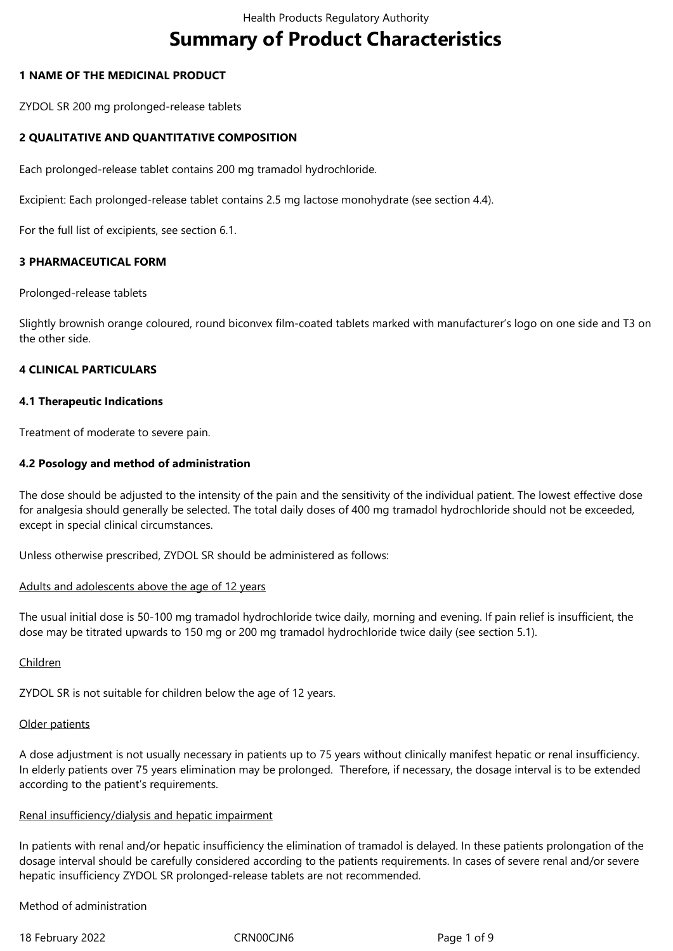# **Summary of Product Characteristics**

# **1 NAME OF THE MEDICINAL PRODUCT**

ZYDOL SR 200 mg prolonged-release tablets

# **2 QUALITATIVE AND QUANTITATIVE COMPOSITION**

Each prolonged-release tablet contains 200 mg tramadol hydrochloride.

Excipient: Each prolonged-release tablet contains 2.5 mg lactose monohydrate (see section 4.4).

For the full list of excipients, see section 6.1.

# **3 PHARMACEUTICAL FORM**

Prolonged-release tablets

Slightly brownish orange coloured, round biconvex film-coated tablets marked with manufacturer's logo on one side and T3 on the other side.

# **4 CLINICAL PARTICULARS**

# **4.1 Therapeutic Indications**

Treatment of moderate to severe pain.

# **4.2 Posology and method of administration**

The dose should be adjusted to the intensity of the pain and the sensitivity of the individual patient. The lowest effective dose for analgesia should generally be selected. The total daily doses of 400 mg tramadol hydrochloride should not be exceeded, except in special clinical circumstances.

Unless otherwise prescribed, ZYDOL SR should be administered as follows:

## Adults and adolescents above the age of 12 years

The usual initial dose is 50-100 mg tramadol hydrochloride twice daily, morning and evening. If pain relief is insufficient, the dose may be titrated upwards to 150 mg or 200 mg tramadol hydrochloride twice daily (see section 5.1).

## Children

ZYDOL SR is not suitable for children below the age of 12 years.

# Older patients

A dose adjustment is not usually necessary in patients up to 75 years without clinically manifest hepatic or renal insufficiency. In elderly patients over 75 years elimination may be prolonged. Therefore, if necessary, the dosage interval is to be extended according to the patient's requirements.

# Renal insufficiency/dialysis and hepatic impairment

In patients with renal and/or hepatic insufficiency the elimination of tramadol is delayed. In these patients prolongation of the dosage interval should be carefully considered according to the patients requirements. In cases of severe renal and/or severe hepatic insufficiency ZYDOL SR prolonged-release tablets are not recommended.

Method of administration

18 February 2022 CRN00CJN6 Page 1 of 9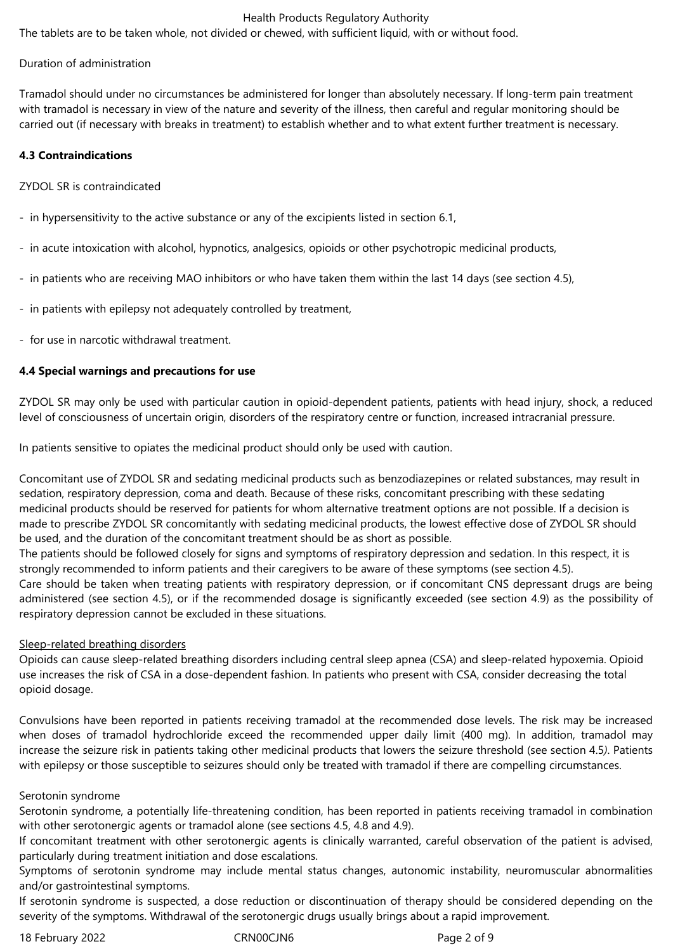# Health Products Regulatory Authority

The tablets are to be taken whole, not divided or chewed, with sufficient liquid, with or without food.

# Duration of administration

Tramadol should under no circumstances be administered for longer than absolutely necessary. If long-term pain treatment with tramadol is necessary in view of the nature and severity of the illness, then careful and regular monitoring should be carried out (if necessary with breaks in treatment) to establish whether and to what extent further treatment is necessary.

# **4.3 Contraindications**

# ZYDOL SR is contraindicated

- in hypersensitivity to the active substance or any of the excipients listed in section 6.1,
- in acute intoxication with alcohol, hypnotics, analgesics, opioids or other psychotropic medicinal products,
- in patients who are receiving MAO inhibitors or who have taken them within the last 14 days (see section 4.5),
- in patients with epilepsy not adequately controlled by treatment,
- for use in narcotic withdrawal treatment.

# **4.4 Special warnings and precautions for use**

ZYDOL SR may only be used with particular caution in opioid-dependent patients, patients with head injury, shock, a reduced level of consciousness of uncertain origin, disorders of the respiratory centre or function, increased intracranial pressure.

In patients sensitive to opiates the medicinal product should only be used with caution.

Concomitant use of ZYDOL SR and sedating medicinal products such as benzodiazepines or related substances, may result in sedation, respiratory depression, coma and death. Because of these risks, concomitant prescribing with these sedating medicinal products should be reserved for patients for whom alternative treatment options are not possible. If a decision is made to prescribe ZYDOL SR concomitantly with sedating medicinal products, the lowest effective dose of ZYDOL SR should be used, and the duration of the concomitant treatment should be as short as possible.

The patients should be followed closely for signs and symptoms of respiratory depression and sedation. In this respect, it is strongly recommended to inform patients and their caregivers to be aware of these symptoms (see section 4.5). Care should be taken when treating patients with respiratory depression, or if concomitant CNS depressant drugs are being administered (see section 4.5), or if the recommended dosage is significantly exceeded (see section 4.9) as the possibility of respiratory depression cannot be excluded in these situations.

## Sleep-related breathing disorders

Opioids can cause sleep-related breathing disorders including central sleep apnea (CSA) and sleep-related hypoxemia. Opioid use increases the risk of CSA in a dose-dependent fashion. In patients who present with CSA, consider decreasing the total opioid dosage.

Convulsions have been reported in patients receiving tramadol at the recommended dose levels. The risk may be increased when doses of tramadol hydrochloride exceed the recommended upper daily limit (400 mg). In addition, tramadol may increase the seizure risk in patients taking other medicinal products that lowers the seizure threshold (see section 4.5*)*. Patients with epilepsy or those susceptible to seizures should only be treated with tramadol if there are compelling circumstances.

# Serotonin syndrome

Serotonin syndrome, a potentially life-threatening condition, has been reported in patients receiving tramadol in combination with other serotonergic agents or tramadol alone (see sections 4.5, 4.8 and 4.9).

If concomitant treatment with other serotonergic agents is clinically warranted, careful observation of the patient is advised, particularly during treatment initiation and dose escalations.

Symptoms of serotonin syndrome may include mental status changes, autonomic instability, neuromuscular abnormalities and/or gastrointestinal symptoms.

If serotonin syndrome is suspected, a dose reduction or discontinuation of therapy should be considered depending on the severity of the symptoms. Withdrawal of the serotonergic drugs usually brings about a rapid improvement.

18 February 2022 **CRNOOCJN6** CRNOOCJN6 Page 2 of 9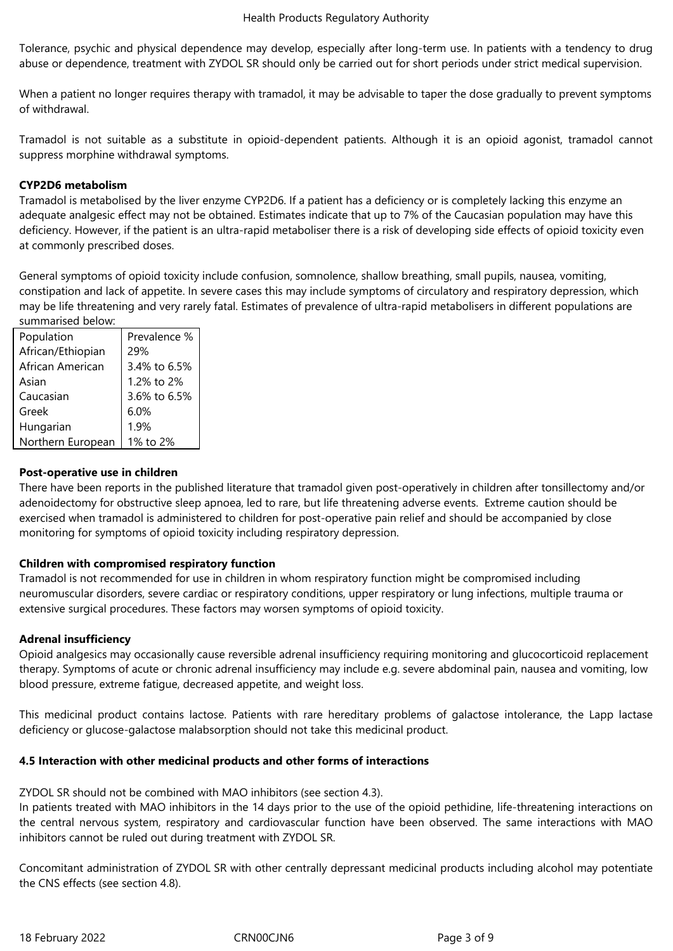Tolerance, psychic and physical dependence may develop, especially after long-term use. In patients with a tendency to drug abuse or dependence, treatment with ZYDOL SR should only be carried out for short periods under strict medical supervision.

When a patient no longer requires therapy with tramadol, it may be advisable to taper the dose gradually to prevent symptoms of withdrawal.

Tramadol is not suitable as a substitute in opioid-dependent patients. Although it is an opioid agonist, tramadol cannot suppress morphine withdrawal symptoms.

# **CYP2D6 metabolism**

Tramadol is metabolised by the liver enzyme CYP2D6. If a patient has a deficiency or is completely lacking this enzyme an adequate analgesic effect may not be obtained. Estimates indicate that up to 7% of the Caucasian population may have this deficiency. However, if the patient is an ultra-rapid metaboliser there is a risk of developing side effects of opioid toxicity even at commonly prescribed doses.

General symptoms of opioid toxicity include confusion, somnolence, shallow breathing, small pupils, nausea, vomiting, constipation and lack of appetite. In severe cases this may include symptoms of circulatory and respiratory depression, which may be life threatening and very rarely fatal. Estimates of prevalence of ultra-rapid metabolisers in different populations are summarised below:

| Population        | Prevalence % |
|-------------------|--------------|
| African/Ethiopian | 29%          |
| African American  | 3.4% to 6.5% |
| Asian             | 1.2% to 2%   |
| Caucasian         | 3.6% to 6.5% |
| Greek             | 6.0%         |
| Hungarian         | 1.9%         |
| Northern European | 1% to 2%     |

# **Post-operative use in children**

There have been reports in the published literature that tramadol given post-operatively in children after tonsillectomy and/or adenoidectomy for obstructive sleep apnoea, led to rare, but life threatening adverse events. Extreme caution should be exercised when tramadol is administered to children for post-operative pain relief and should be accompanied by close monitoring for symptoms of opioid toxicity including respiratory depression.

# **Children with compromised respiratory function**

Tramadol is not recommended for use in children in whom respiratory function might be compromised including neuromuscular disorders, severe cardiac or respiratory conditions, upper respiratory or lung infections, multiple trauma or extensive surgical procedures. These factors may worsen symptoms of opioid toxicity.

## **Adrenal insufficiency**

Opioid analgesics may occasionally cause reversible adrenal insufficiency requiring monitoring and glucocorticoid replacement therapy. Symptoms of acute or chronic adrenal insufficiency may include e.g. severe abdominal pain, nausea and vomiting, low blood pressure, extreme fatigue, decreased appetite, and weight loss.

This medicinal product contains lactose. Patients with rare hereditary problems of galactose intolerance, the Lapp lactase deficiency or glucose-galactose malabsorption should not take this medicinal product.

# **4.5 Interaction with other medicinal products and other forms of interactions**

ZYDOL SR should not be combined with MAO inhibitors (see section 4.3).

In patients treated with MAO inhibitors in the 14 days prior to the use of the opioid pethidine, life-threatening interactions on the central nervous system, respiratory and cardiovascular function have been observed. The same interactions with MAO inhibitors cannot be ruled out during treatment with ZYDOL SR.

Concomitant administration of ZYDOL SR with other centrally depressant medicinal products including alcohol may potentiate the CNS effects (see section 4.8).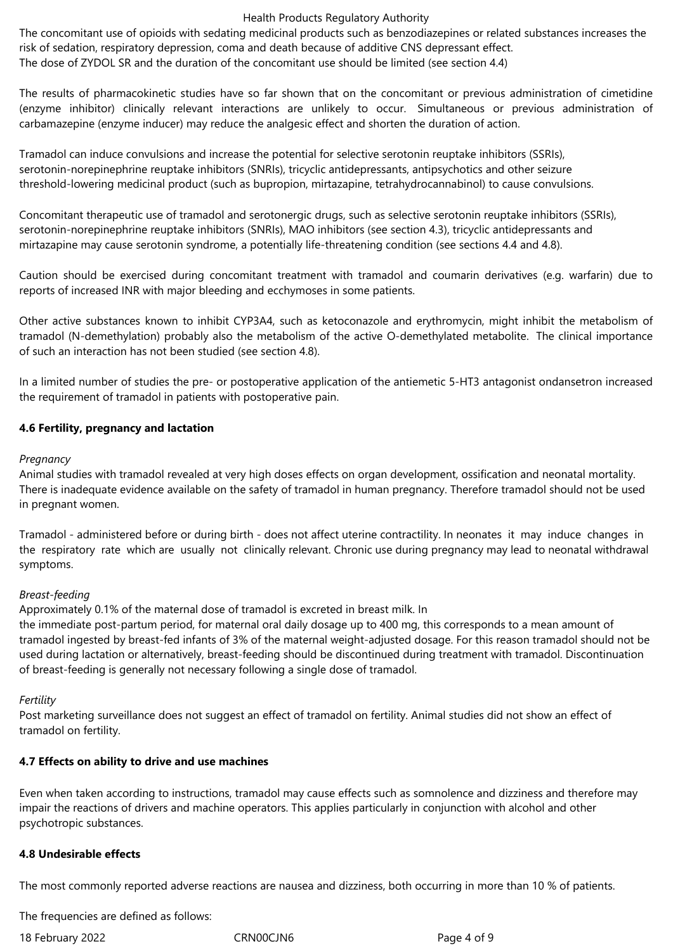#### Health Products Regulatory Authority

The concomitant use of opioids with sedating medicinal products such as benzodiazepines or related substances increases the risk of sedation, respiratory depression, coma and death because of additive CNS depressant effect. The dose of ZYDOL SR and the duration of the concomitant use should be limited (see section 4.4)

The results of pharmacokinetic studies have so far shown that on the concomitant or previous administration of cimetidine (enzyme inhibitor) clinically relevant interactions are unlikely to occur. Simultaneous or previous administration of carbamazepine (enzyme inducer) may reduce the analgesic effect and shorten the duration of action.

Tramadol can induce convulsions and increase the potential for selective serotonin reuptake inhibitors (SSRIs), serotonin-norepinephrine reuptake inhibitors (SNRIs), tricyclic antidepressants, antipsychotics and other seizure threshold-lowering medicinal product (such as bupropion, mirtazapine, tetrahydrocannabinol) to cause convulsions.

Concomitant therapeutic use of tramadol and serotonergic drugs, such as selective serotonin reuptake inhibitors (SSRIs), serotonin-norepinephrine reuptake inhibitors (SNRIs), MAO inhibitors (see section 4.3), tricyclic antidepressants and mirtazapine may cause serotonin syndrome, a potentially life-threatening condition (see sections 4.4 and 4.8).

Caution should be exercised during concomitant treatment with tramadol and coumarin derivatives (e.g. warfarin) due to reports of increased INR with major bleeding and ecchymoses in some patients.

Other active substances known to inhibit CYP3A4, such as ketoconazole and erythromycin, might inhibit the metabolism of tramadol (N-demethylation) probably also the metabolism of the active O-demethylated metabolite. The clinical importance of such an interaction has not been studied (see section 4.8).

In a limited number of studies the pre- or postoperative application of the antiemetic 5-HT3 antagonist ondansetron increased the requirement of tramadol in patients with postoperative pain.

# **4.6 Fertility, pregnancy and lactation**

# *Pregnancy*

Animal studies with tramadol revealed at very high doses effects on organ development, ossification and neonatal mortality. There is inadequate evidence available on the safety of tramadol in human pregnancy. Therefore tramadol should not be used in pregnant women.

Tramadol - administered before or during birth - does not affect uterine contractility. In neonates it may induce changes in the respiratory rate which are usually not clinically relevant. Chronic use during pregnancy may lead to neonatal withdrawal symptoms.

# *Breast-feeding*

Approximately 0.1% of the maternal dose of tramadol is excreted in breast milk. In

the immediate post-partum period, for maternal oral daily dosage up to 400 mg, this corresponds to a mean amount of tramadol ingested by breast-fed infants of 3% of the maternal weight-adjusted dosage. For this reason tramadol should not be used during lactation or alternatively, breast-feeding should be discontinued during treatment with tramadol. Discontinuation of breast-feeding is generally not necessary following a single dose of tramadol.

## *Fertility*

Post marketing surveillance does not suggest an effect of tramadol on fertility. Animal studies did not show an effect of tramadol on fertility.

# **4.7 Effects on ability to drive and use machines**

Even when taken according to instructions, tramadol may cause effects such as somnolence and dizziness and therefore may impair the reactions of drivers and machine operators. This applies particularly in conjunction with alcohol and other psychotropic substances.

## **4.8 Undesirable effects**

The most commonly reported adverse reactions are nausea and dizziness, both occurring in more than 10 % of patients.

The frequencies are defined as follows:

18 February 2022 CRN00CJN6 Page 4 of 9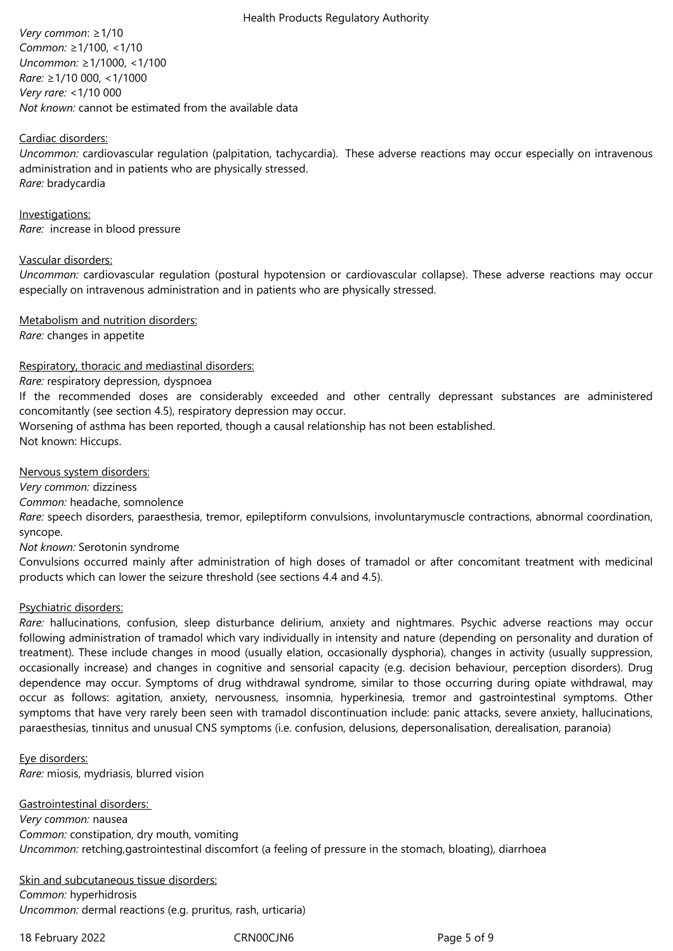#### Health Products Regulatory Authority

*Very common*: ≥1/10 *Common:* ≥1/100, <1/10 *Uncommon:* ≥1/1000, <1/100 *Rare:* ≥1/10 000, <1/1000 *Very rare:* <1/10 000 *Not known:* cannot be estimated from the available data

# Cardiac disorders:

*Uncommon:* cardiovascular regulation (palpitation, tachycardia). These adverse reactions may occur especially on intravenous administration and in patients who are physically stressed. *Rare:* bradycardia

Investigations: *Rare:*  increase in blood pressure

## Vascular disorders:

*Uncommon:* cardiovascular regulation (postural hypotension or cardiovascular collapse). These adverse reactions may occur especially on intravenous administration and in patients who are physically stressed.

Metabolism and nutrition disorders:

*Rare:* changes in appetite

# Respiratory, thoracic and mediastinal disorders:

*Rare:* respiratory depression*,* dyspnoea

If the recommended doses are considerably exceeded and other centrally depressant substances are administered concomitantly (see section 4.5), respiratory depression may occur.

Worsening of asthma has been reported, though a causal relationship has not been established. Not known: Hiccups.

Nervous system disorders:

*Very common:* dizziness

*Common:* headache, somnolence

*Rare:* speech disorders, paraesthesia, tremor, epileptiform convulsions, involuntarymuscle contractions, abnormal coordination, syncope.

*Not known:* Serotonin syndrome

Convulsions occurred mainly after administration of high doses of tramadol or after concomitant treatment with medicinal products which can lower the seizure threshold (see sections 4.4 and 4.5).

## Psychiatric disorders:

*Rare:* hallucinations, confusion, sleep disturbance delirium, anxiety and nightmares. Psychic adverse reactions may occur following administration of tramadol which vary individually in intensity and nature (depending on personality and duration of treatment). These include changes in mood (usually elation, occasionally dysphoria), changes in activity (usually suppression, occasionally increase) and changes in cognitive and sensorial capacity (e.g. decision behaviour, perception disorders). Drug dependence may occur. Symptoms of drug withdrawal syndrome, similar to those occurring during opiate withdrawal, may occur as follows: agitation, anxiety, nervousness, insomnia, hyperkinesia, tremor and gastrointestinal symptoms. Other symptoms that have very rarely been seen with tramadol discontinuation include: panic attacks, severe anxiety, hallucinations, paraesthesias, tinnitus and unusual CNS symptoms (i.e. confusion, delusions, depersonalisation, derealisation, paranoia)

Eye disorders: *Rare:* miosis, mydriasis, blurred vision

Gastrointestinal disorders: *Very common:* nausea *Common:* constipation, dry mouth, vomiting *Uncommon:* retching,gastrointestinal discomfort (a feeling of pressure in the stomach, bloating), diarrhoea

Skin and subcutaneous tissue disorders: *Common:* hyperhidrosis *Uncommon:* dermal reactions (e.g. pruritus, rash, urticaria)

18 February 2022 CRN00CJN6 Page 5 of 9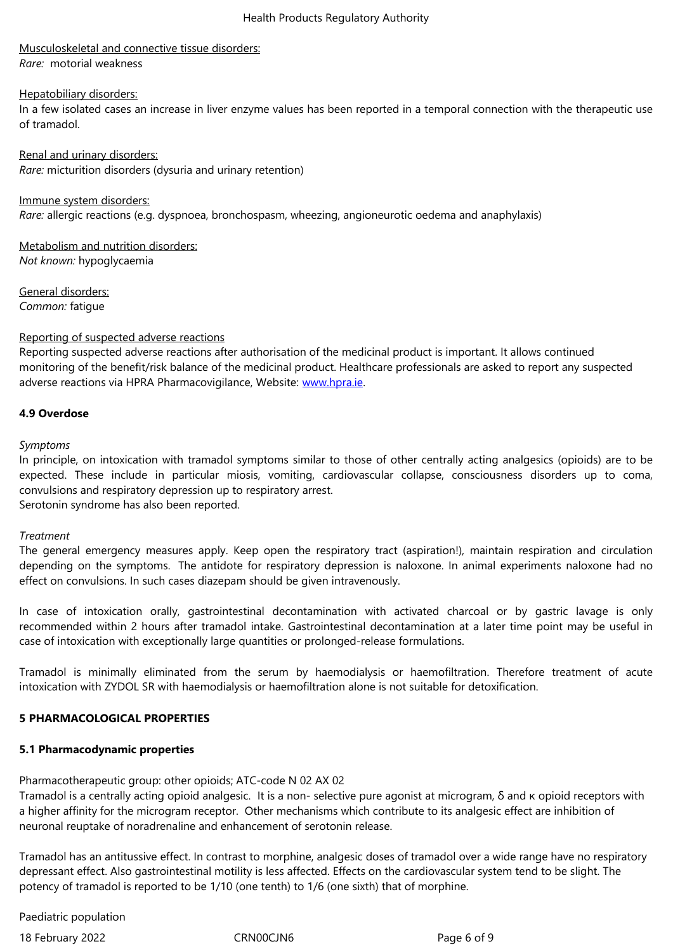*Rare:*  motorial weakness

#### Hepatobiliary disorders:

In a few isolated cases an increase in liver enzyme values has been reported in a temporal connection with the therapeutic use of tramadol.

Renal and urinary disorders: *Rare:* micturition disorders (dysuria and urinary retention)

Immune system disorders: *Rare:* allergic reactions (e.g. dyspnoea, bronchospasm, wheezing, angioneurotic oedema and anaphylaxis)

Metabolism and nutrition disorders: *Not known:* hypoglycaemia

General disorders: *Common:* fatigue

#### Reporting of suspected adverse reactions

Reporting suspected adverse reactions after authorisation of the medicinal product is important. It allows continued monitoring of the benefit/risk balance of the medicinal product. Healthcare professionals are asked to report any suspected adverse reactions via HPRA Pharmacovigilance, Website: www.hpra.ie.

# **4.9 Overdose**

*Symptoms*

In principle, on intoxication with tramadol symptoms similar to those of other centrally acting analgesics (opioids) are to be expected. These include in particular miosis, vomiting, cardiovascular collapse, consciousness disorders up to coma, convulsions and respiratory depression up to respiratory arrest.

Serotonin syndrome has also been reported.

#### *Treatment*

The general emergency measures apply. Keep open the respiratory tract (aspiration!), maintain respiration and circulation depending on the symptoms. The antidote for respiratory depression is naloxone. In animal experiments naloxone had no effect on convulsions. In such cases diazepam should be given intravenously.

In case of intoxication orally, gastrointestinal decontamination with activated charcoal or by gastric lavage is only recommended within 2 hours after tramadol intake. Gastrointestinal decontamination at a later time point may be useful in case of intoxication with exceptionally large quantities or prolonged-release formulations.

Tramadol is minimally eliminated from the serum by haemodialysis or haemofiltration. Therefore treatment of acute intoxication with ZYDOL SR with haemodialysis or haemofiltration alone is not suitable for detoxification.

# **5 PHARMACOLOGICAL PROPERTIES**

# **5.1 Pharmacodynamic properties**

Pharmacotherapeutic group: other opioids; ATC-code N 02 AX 02

Tramadol is a centrally acting opioid analgesic. It is a non- selective pure agonist at microgram, δ and κ opioid receptors with a higher affinity for the microgram receptor. Other mechanisms which contribute to its analgesic effect are inhibition of neuronal reuptake of noradrenaline and enhancement of serotonin release.

Tramadol has an antitussive effect. In contrast to morphine, analgesic doses of tramadol over a wide range have no respiratory depressant effect. Also gastrointestinal motility is less affected. Effects on the cardiovascular system tend to be slight. The potency of tramadol is reported to be 1/10 (one tenth) to 1/6 (one sixth) that of morphine.

Paediatric population

18 February 2022 **CRNOOCJN6** CRNOOCJN6 Page 6 of 9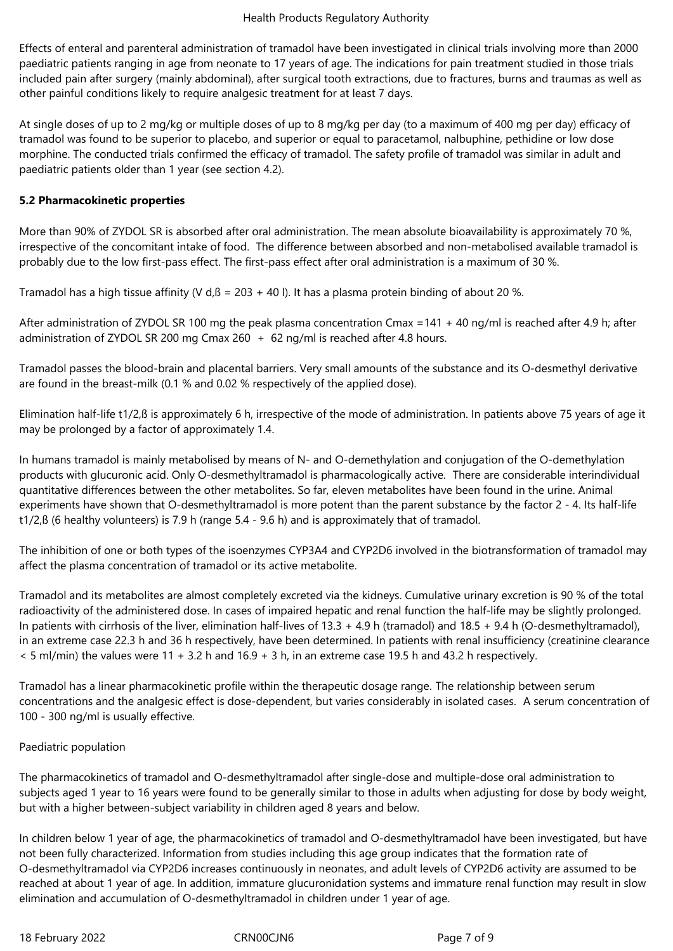Effects of enteral and parenteral administration of tramadol have been investigated in clinical trials involving more than 2000 paediatric patients ranging in age from neonate to 17 years of age. The indications for pain treatment studied in those trials included pain after surgery (mainly abdominal), after surgical tooth extractions, due to fractures, burns and traumas as well as other painful conditions likely to require analgesic treatment for at least 7 days.

At single doses of up to 2 mg/kg or multiple doses of up to 8 mg/kg per day (to a maximum of 400 mg per day) efficacy of tramadol was found to be superior to placebo, and superior or equal to paracetamol, nalbuphine, pethidine or low dose morphine. The conducted trials confirmed the efficacy of tramadol. The safety profile of tramadol was similar in adult and paediatric patients older than 1 year (see section 4.2).

# **5.2 Pharmacokinetic properties**

More than 90% of ZYDOL SR is absorbed after oral administration. The mean absolute bioavailability is approximately 70 %. irrespective of the concomitant intake of food. The difference between absorbed and non-metabolised available tramadol is probably due to the low first-pass effect. The first-pass effect after oral administration is a maximum of 30 %.

Tramadol has a high tissue affinity (V d, $\beta$  = 203 + 40 l). It has a plasma protein binding of about 20 %.

After administration of ZYDOL SR 100 mg the peak plasma concentration Cmax =141 + 40 ng/ml is reached after 4.9 h; after administration of ZYDOL SR 200 mg Cmax 260 + 62 ng/ml is reached after 4.8 hours.

Tramadol passes the blood-brain and placental barriers. Very small amounts of the substance and its O-desmethyl derivative are found in the breast-milk (0.1 % and 0.02 % respectively of the applied dose).

Elimination half-life t1/2,ß is approximately 6 h, irrespective of the mode of administration. In patients above 75 years of age it may be prolonged by a factor of approximately 1.4.

In humans tramadol is mainly metabolised by means of N- and O-demethylation and conjugation of the O-demethylation products with glucuronic acid. Only O-desmethyltramadol is pharmacologically active. There are considerable interindividual quantitative differences between the other metabolites. So far, eleven metabolites have been found in the urine. Animal experiments have shown that O-desmethyltramadol is more potent than the parent substance by the factor 2 - 4. Its half-life t1/2,ß (6 healthy volunteers) is 7.9 h (range 5.4 - 9.6 h) and is approximately that of tramadol.

The inhibition of one or both types of the isoenzymes CYP3A4 and CYP2D6 involved in the biotransformation of tramadol may affect the plasma concentration of tramadol or its active metabolite.

Tramadol and its metabolites are almost completely excreted via the kidneys. Cumulative urinary excretion is 90 % of the total radioactivity of the administered dose. In cases of impaired hepatic and renal function the half-life may be slightly prolonged. In patients with cirrhosis of the liver, elimination half-lives of 13.3 + 4.9 h (tramadol) and 18.5 + 9.4 h (O-desmethyltramadol), in an extreme case 22.3 h and 36 h respectively, have been determined. In patients with renal insufficiency (creatinine clearance < 5 ml/min) the values were 11 + 3.2 h and 16.9 + 3 h, in an extreme case 19.5 h and 43.2 h respectively.

Tramadol has a linear pharmacokinetic profile within the therapeutic dosage range. The relationship between serum concentrations and the analgesic effect is dose-dependent, but varies considerably in isolated cases. A serum concentration of 100 - 300 ng/ml is usually effective.

# Paediatric population

The pharmacokinetics of tramadol and O-desmethyltramadol after single-dose and multiple-dose oral administration to subjects aged 1 year to 16 years were found to be generally similar to those in adults when adjusting for dose by body weight, but with a higher between-subject variability in children aged 8 years and below.

In children below 1 year of age, the pharmacokinetics of tramadol and O-desmethyltramadol have been investigated, but have not been fully characterized. Information from studies including this age group indicates that the formation rate of O-desmethyltramadol via CYP2D6 increases continuously in neonates, and adult levels of CYP2D6 activity are assumed to be reached at about 1 year of age. In addition, immature glucuronidation systems and immature renal function may result in slow elimination and accumulation of O-desmethyltramadol in children under 1 year of age.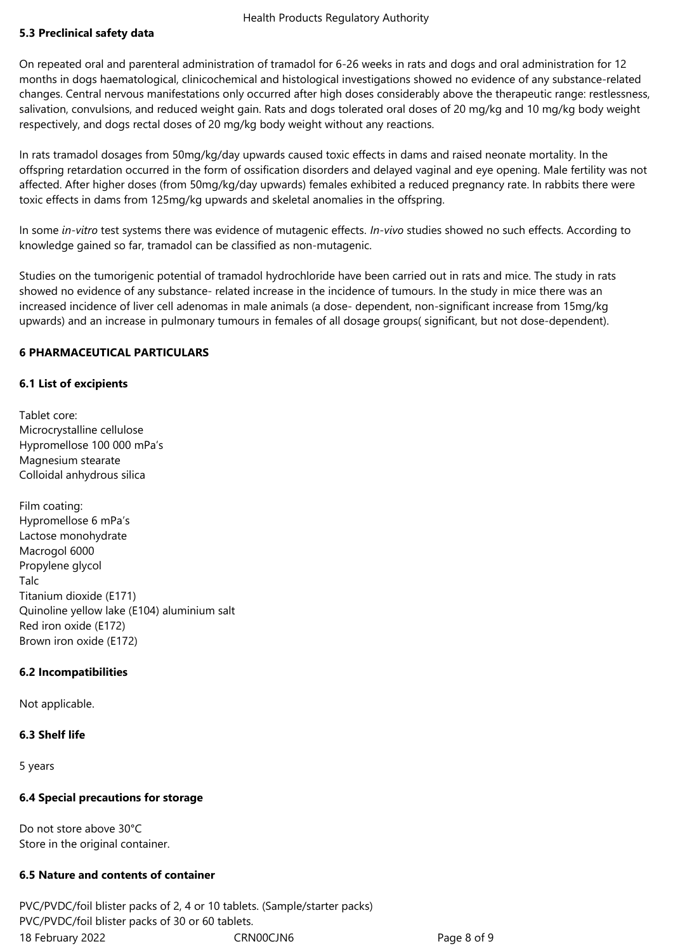# **5.3 Preclinical safety data**

On repeated oral and parenteral administration of tramadol for 6-26 weeks in rats and dogs and oral administration for 12 months in dogs haematological, clinicochemical and histological investigations showed no evidence of any substance-related changes. Central nervous manifestations only occurred after high doses considerably above the therapeutic range: restlessness, salivation, convulsions, and reduced weight gain. Rats and dogs tolerated oral doses of 20 mg/kg and 10 mg/kg body weight respectively, and dogs rectal doses of 20 mg/kg body weight without any reactions.

In rats tramadol dosages from 50mg/kg/day upwards caused toxic effects in dams and raised neonate mortality. In the offspring retardation occurred in the form of ossification disorders and delayed vaginal and eye opening. Male fertility was not affected. After higher doses (from 50mg/kg/day upwards) females exhibited a reduced pregnancy rate. In rabbits there were toxic effects in dams from 125mg/kg upwards and skeletal anomalies in the offspring.

In some *in-vitro* test systems there was evidence of mutagenic effects. *In-vivo* studies showed no such effects. According to knowledge gained so far, tramadol can be classified as non-mutagenic.

Studies on the tumorigenic potential of tramadol hydrochloride have been carried out in rats and mice. The study in rats showed no evidence of any substance- related increase in the incidence of tumours. In the study in mice there was an increased incidence of liver cell adenomas in male animals (a dose- dependent, non-significant increase from 15mg/kg upwards) and an increase in pulmonary tumours in females of all dosage groups( significant, but not dose-dependent).

# **6 PHARMACEUTICAL PARTICULARS**

## **6.1 List of excipients**

Tablet core: Microcrystalline cellulose Hypromellose 100 000 mPa's Magnesium stearate Colloidal anhydrous silica

Film coating: Hypromellose 6 mPa's Lactose monohydrate Macrogol 6000 Propylene glycol Talc Titanium dioxide (E171) Quinoline yellow lake (E104) aluminium salt Red iron oxide (E172) Brown iron oxide (E172)

## **6.2 Incompatibilities**

Not applicable.

# **6.3 Shelf life**

5 years

## **6.4 Special precautions for storage**

Do not store above 30°C Store in the original container.

## **6.5 Nature and contents of container**

18 February 2022 CRN00CJN6 Page 8 of 9 PVC/PVDC/foil blister packs of 2, 4 or 10 tablets. (Sample/starter packs) PVC/PVDC/foil blister packs of 30 or 60 tablets.